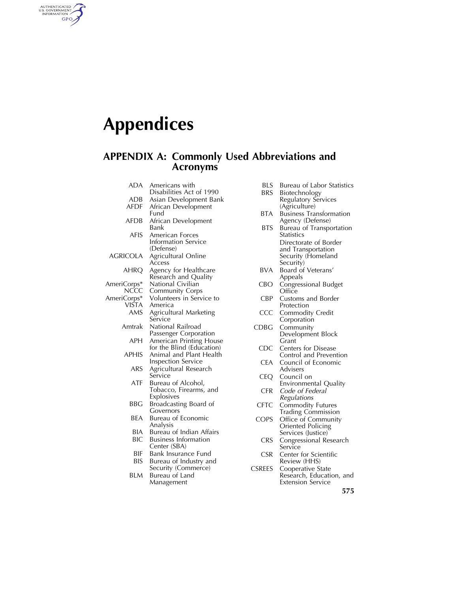**Appendices** 

AUTHENTICATED<br>U.S. GOVERNMENT<br>INFORMATION GPO

## **APPENDIX A: Commonly Used Abbreviations and Acronyms**

| Americans with                                       |
|------------------------------------------------------|
| Disabilities Act of 1990                             |
| Asian Development Bank                               |
| African Development                                  |
| Fund                                                 |
| African Development                                  |
| Bank                                                 |
| American Forces                                      |
| Information Service                                  |
| (Defense)                                            |
| Agricultural Online                                  |
| Access                                               |
| Agency for Healthcare                                |
| Research and Quality                                 |
| National Civilian                                    |
| <b>Community Corps</b>                               |
| Volunteers in Service to                             |
| America                                              |
| Agricultural Marketing                               |
| Service                                              |
| National Railroad                                    |
| Passenger Corporation                                |
| American Printing House<br>for the Blind (Education) |
|                                                      |
| Animal and Plant Health                              |
| <b>Inspection Service</b>                            |
| Agricultural Research                                |
| Service                                              |
|                                                      |
| Bureau of Alcohol,                                   |
| Tobacco, Firearms, and                               |
| Explosives                                           |
| Broadcasting Board of                                |
| Governors                                            |
| Bureau of Economic                                   |
| Analysis                                             |
| Bureau of Indian Affairs                             |
| <b>Business Information</b>                          |
| Center (SBA)                                         |
| Bank Insurance Fund                                  |
| Bureau of Industry and                               |
| Security (Commerce)                                  |
| Bureau of Land<br>Management                         |
|                                                      |

- BLS Bureau of Labor Statistics<br>BRS Biotechnology
	- Biotechnology Regulatory Services (Agriculture)
- BTA Business Transformation Agency (Defense)
- BTS Bureau of Transportation **Statistics** Directorate of Border and Transportation Security (Homeland Security)
- BVA Board of Veterans' Appeals
- CBO Congressional Budget Office
- CBP Customs and Border Protection
- CCC Commodity Credit Corporation
- CDBG Community Development Block Grant
	- CDC Centers for Disease Control and Prevention
	- CEA Council of Economic Advisers
	- CEQ Council on Environmental Quality
	- CFR *Code of Federal Regulations*
- CFTC Commodity Futures Trading Commission
- COPS Office of Community Oriented Policing Services (Justice)
	- CRS Congressional Research **Service**
- CSR Center for Scientific Review (HHS)
- CSREES Cooperative State Research, Education, and Extension Service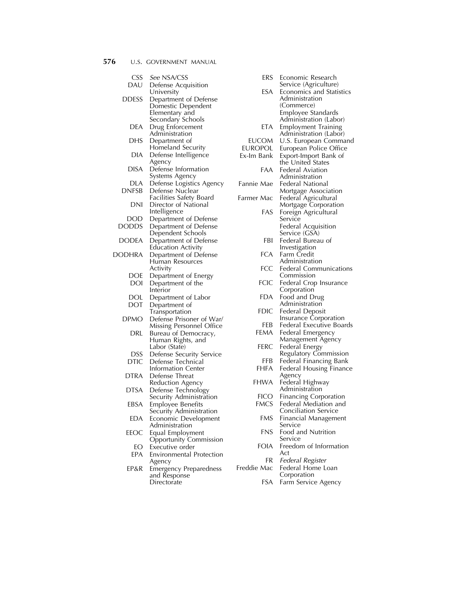| CSS          | <i>See</i> NSA/CSS                  |
|--------------|-------------------------------------|
| DAU          | Defense Acquisition                 |
|              | University                          |
| ddess        | Department of Defense               |
|              | Domestic Dependent                  |
|              |                                     |
|              | Elementary and<br>Secondary Schools |
|              |                                     |
| dea          | Drug Enforcement                    |
|              | Administration                      |
| dhs          | Department of                       |
|              | Homeland Security                   |
| DIA          | Defense Intelligence                |
|              | Agency                              |
| <b>DISA</b>  | Defense Information                 |
|              | Systems Agency                      |
|              |                                     |
| DLA          | Defense Logistics Agency            |
| <b>DNFSB</b> | Defense Nuclear                     |
|              | Facilities Safety Board             |
| dni          | Director of National                |
|              | Intelligence                        |
| DOD          | Department of Defense               |
| <b>DODDS</b> | Department of Defense               |
|              | Dependent Schools                   |
|              |                                     |
| dodea        | Department of Defense               |
|              | Education Activity                  |
| DODHRA       | Department of Defense               |
|              | Human Resources                     |
|              | Activity                            |
| doe          | Department of Energy                |
| DOI          | Department of the                   |
|              | Interior                            |
|              |                                     |
| DOL          | Department of Labor                 |
| DOT          | Department of                       |
|              | Transportation                      |
| DPMO         | Defense Prisoner of War/            |
|              | Missing Personnel Office            |
| drl          | Bureau of Democracy,                |
|              | Human Rights, and                   |
|              | Labor (State)                       |
| dss          | Defense Security Service            |
| dtic         | Defense Technical                   |
|              |                                     |
|              | Information Center                  |
| DTRA         | Defense Threat                      |
|              | Reduction Agency                    |
| dtsa         | Defense Technology                  |
|              | Security Administration             |
| EBSA         | <b>Employee Benefits</b>            |
|              | Security Administration             |
|              |                                     |
| eda          | Economic Development                |
|              | Administration                      |
| eeoc         | Equal Employment                    |
|              | Opportunity Commission              |
| EO           | Executive order                     |
| EPA          | Environmental Protection            |
|              | Agency                              |
|              |                                     |

EP&R Emergency Preparedness and Response Directorate

| ERS          | Economic Research<br>Service (Agriculture)     |
|--------------|------------------------------------------------|
| ESA          | <b>Economics and Statistics</b>                |
|              | Administration                                 |
|              | (Commerce)                                     |
|              | Employee Standards                             |
|              | Administration (Labor)                         |
| <b>ETA</b>   | <b>Employment Training</b>                     |
|              | Administration (Labor)                         |
| <b>EUCOM</b> | U.S. European Command                          |
| EUROPOL      | European Police Office                         |
| Ex-Im Bank   |                                                |
|              | Export-Import Bank of<br>the United States     |
| FAA          | Federal Aviation                               |
|              | Administration                                 |
| Fannie Mae   | Federal National                               |
|              | Mortgage Association                           |
| Farmer Mac   | Federal Agricultural                           |
|              | Mortgage Corporation                           |
| FAS          | Foreign Agricultural                           |
|              | Service                                        |
|              | Federal Acquisition                            |
|              | Service (GSA)                                  |
| FBI          | Federal Bureau of                              |
|              | Investigation                                  |
| FCA          | Farm Credit                                    |
|              | Administration                                 |
| FCC          | Federal Communications                         |
|              | Commission                                     |
| <b>FCIC</b>  | Federal Crop Insurance                         |
|              | Corporation                                    |
| FDA          | Food and Drug                                  |
|              | Administration                                 |
| FDIC         | Federal Deposit<br>Insurance Corporation       |
|              |                                                |
| FEB          | Federal Executive Boards                       |
| FEMA         | Federal Emergency                              |
|              | Management Agency                              |
| FERC         | Federal Energy<br>Regulatory Commission        |
|              |                                                |
| FFB          | Federal Financing Bank                         |
| <b>FHFA</b>  | Federal Housing Finance                        |
|              | Agency                                         |
| FHWA         | Federal Highway                                |
| FICO         | Administration                                 |
| <b>FMCS</b>  | Financing Corporation<br>Federal Mediation and |
|              | Conciliation Service                           |
| <b>FMS</b>   | Financial Management                           |
|              | Service                                        |
| <b>FNS</b>   | Food and Nutrition                             |
|              | Service                                        |
| FOIA         | Freedom of Information                         |
|              | Act                                            |
| FR           | Federal Register                               |
| Freddie Mac  | Federal Home Loan                              |
|              | Corporation                                    |
|              |                                                |

FSA Farm Service Agency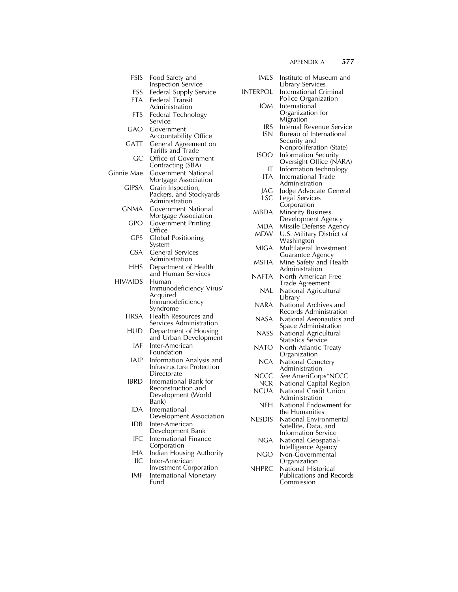| FSIS            | Food Safety and<br>Inspection Service                                       |
|-----------------|-----------------------------------------------------------------------------|
| FSS             | Federal Supply Service                                                      |
| FTA             | Federal Transit                                                             |
|                 | Administration                                                              |
| <b>FTS</b>      | Federal Technology<br>Service                                               |
| <b>GAO</b>      | Government<br>Accountability Office                                         |
| GATT            | General Agreement on<br>Tariffs and Trade                                   |
| GC              | Office of Government                                                        |
| Ginnie Mae      | Contracting (SBA)<br>Government National                                    |
| GIPSA           | Mortgage Association<br>Grain Inspection,                                   |
|                 | Packers, and Stockyards<br>Administration                                   |
| GNMA            | Government National<br>Mortgage Association                                 |
| GPO             | <b>Government Printing</b><br>Office                                        |
| GPS             | <b>Global Positioning</b><br>System                                         |
| GSA             | General Services<br>Administration                                          |
| HHS             | Department of Health<br>and Human Services                                  |
| <b>HIV/AIDS</b> | Human                                                                       |
|                 | Immunodeficiency Virus/<br>Acquired                                         |
|                 | Immunodeficiency<br>Syndrome                                                |
| HRSA            | Health Resources and<br>Services Administration                             |
| HUD             | Department of Housing<br>and Urban Development                              |
| IAF             | Inter-American<br>Foundation                                                |
| IAIP            | Information Analysis and<br>Infrastructure Protection<br>Directorate        |
| ibrd            | International Bank for<br>Reconstruction and<br>Development (World<br>Bank) |
| IDA             | International<br>Development Association                                    |
| <b>IDB</b>      | Inter-American<br>Development Bank                                          |
| <b>IFC</b>      | International Finance<br>Corporation                                        |
| IHA             | Indian Housing Authority                                                    |
| IІC             | Inter-American                                                              |
|                 | <b>Investment Corporation</b>                                               |
| IMF             | International Monetary<br>Fund                                              |

| IMLS        | Institute of Museum and<br>Library Services        |
|-------------|----------------------------------------------------|
| INTERPOL    | International Criminal                             |
| iom         | Police Organization<br>International               |
|             | Organization for                                   |
|             | Migration                                          |
| IRS         | Internal Revenue Service                           |
| <b>ISN</b>  | Bureau of International                            |
|             | Security and                                       |
|             | Nonproliferation (State)                           |
| ISOO        | Information Security                               |
|             | Oversight Office (NARA)                            |
| IT          | Information technology                             |
| ITA         | International Trade                                |
|             | Administration                                     |
| JAG         | Judge Advocate General                             |
| lsc         | Legal Services                                     |
| MBDA        | Corporation<br>Minority Business                   |
|             | Development Agency                                 |
| MDA         | Missile Defense Agency                             |
| MDW         | U.S. Military District of                          |
|             | Washington                                         |
| MIGA        | Multilateral Investment                            |
|             | Guarantee Agency                                   |
| MSHA        | Mine Safety and Health                             |
|             | Administration                                     |
| NAFTA       | North American Free                                |
|             | Trade Agreement                                    |
| NAL         | National Agricultural<br>Library                   |
| NARA        | National Archives and                              |
|             | Records Administration                             |
| NASA        | National Aeronautics and                           |
|             | Space Administration                               |
| NASS        | National Agricultural<br>Statistics Service        |
| NATO        | North Atlantic Treaty                              |
|             | Organization                                       |
| NCA         | National Cemetery                                  |
|             | Administration                                     |
| NCCC        | See AmeriCorps*NCCC                                |
| NCR         | National Capital Region                            |
| <b>NCUA</b> | National Credit Union                              |
|             | Administration                                     |
| neh         | National Endowment for                             |
|             | the Humanities                                     |
| NESDIS      | National Environmental                             |
|             | Satellite, Data, and<br><b>Information Service</b> |
| NGA         | National Geospatial-                               |
|             | Intelligence Agency                                |
| NGO         | Non-Governmental                                   |
|             | Organization                                       |
| NHPRC       | National Historical                                |
|             | <b>Publications and Records</b>                    |
|             | Commission                                         |
|             |                                                    |

- 
-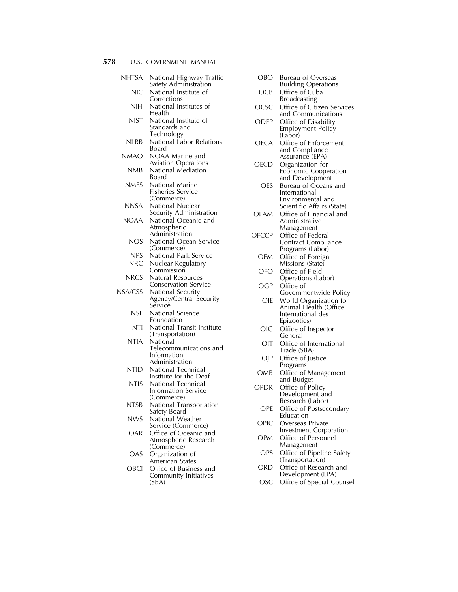- NHTSA National Highway Traffic Safety Administration NIC National Institute of
	- Corrections NIH National Institutes of Health
	- NIST National Institute of Standards and Technology
	- NLRB National Labor Relations Board
- NMAO NOAA Marine and Aviation Operations NMB National Mediation
- Board NMFS National Marine
- Fisheries Service (Commerce) NNSA National Nuclear
- Security Administration NOAA National Oceanic and
- Atmospheric Administration
- NOS National Ocean Service (Commerce)
- NPS National Park Service NRC Nuclear Regulatory
- **Commission** NRCS Natural Resources
- Conservation Service NSA/CSS National Security
	- Agency/Central Security **Service**
	- NSF National Science Foundation
	- NTI National Transit Institute (Transportation)
	- NTIA National Telecommunications and Information Administration
	- NTID National Technical Institute for the Deaf
	- NTIS National Technical Information Service (Commerce)
	- NTSB National Transportation Safety Board
	- NWS National Weather Service (Commerce)
	- OAR Office of Oceanic and Atmospheric Research (Commerce)
	- OAS Organization of American States
	- OBCI Office of Business and Community Initiatives (SBA)
- OBO Bureau of Overseas Building Operations OCB Office of Cuba
- Broadcasting
- OCSC Office of Citizen Services and Communications
- ODEP Office of Disability Employment Policy (Labor)
- OECA Office of Enforcement and Compliance Assurance (EPA)
- OECD Organization for Economic Cooperation and Development
	- OES Bureau of Oceans and International Environmental and Scientific Affairs (State)
- OFAM Office of Financial and Administrative Management
- OFCCP Office of Federal Contract Compliance Programs (Labor)
	- OFM Office of Foreign Missions (State)
	- OFO Office of Field Operations (Labor) OGP Office of
	- Governmentwide Policy OIE World Organization for Animal Health (Office
	- International des Epizooties)
	- OIG Office of Inspector General
	- OIT Office of International Trade (SBA)
	- OJP Office of Justice Programs
	- OMB Office of Management and Budget<br>Office of Policy
- OPDR Office of Policy Development and Research (Labor)
	- OPE Office of Postsecondary Education
- OPIC Overseas Private Investment Corporation
- OPM Office of Personnel Management
- OPS Office of Pipeline Safety (Transportation)
- ORD Office of Research and Development (EPA)
- OSC Office of Special Counsel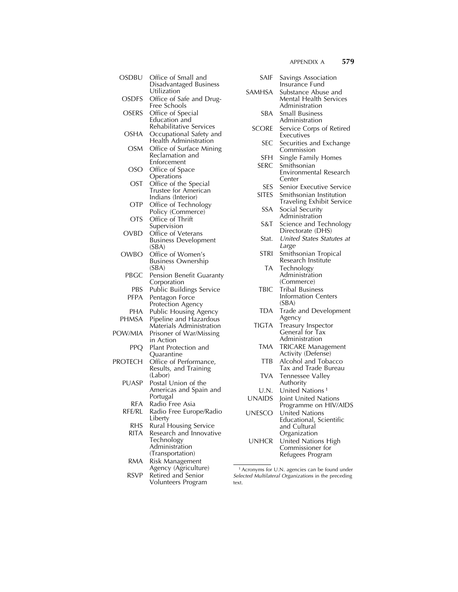SAIF Savings Association Insurance Fund

| osdbu       | Office of Small and<br>Disadvantaged Business<br>Utilization        |
|-------------|---------------------------------------------------------------------|
| OSDFS       | Office of Safe and Drug-<br>Free Schools                            |
| OSERS       | Office of Special<br>Education and<br>Rehabilitative Services       |
| osha        | Occupational Safety and<br>Health Administration                    |
| <b>OSM</b>  | Office of Surface Mining<br>Reclamation and<br>Enforcement          |
| OSO         | Office of Space<br>Operations                                       |
| OST         | Office of the Special<br>Trustee for American<br>Indians (Interior) |
| ОТР         | Office of Technology<br>Policy (Commerce)                           |
| OTS         | Office of Thrift<br>Supervision                                     |
| OVBD        | Office of Veterans<br><b>Business Development</b><br>(SBA)          |
| <b>OWBO</b> | Office of Women's<br><b>Business Ownership</b><br>(SBA)             |
| PBGC        | Pension Benefit Guaranty<br>Corporation                             |
| PBS         | Public Buildings Service                                            |
| PFPA        | Pentagon Force<br>Protection Agency                                 |
| PHA         | Public Housing Agency                                               |
| PHMSA       | Pipeline and Hazardous<br>Materials Administration                  |
| POW/MIA     | Prisoner of War/Missing<br>in Action                                |
| PPQ         | Plant Protection and<br>Quarantine                                  |
| PROTECH     | Office of Performance,<br>Results, and Training<br>(Labor)          |
| PUASP       | Postal Union of the<br>Americas and Spain and<br>Portugal           |
| RFA         | Radio Free Asia                                                     |
| RFE/RL      | Radio Free Europe/Radio<br>Liberty                                  |
| RHS         | Rural Housing Service                                               |
| <b>RITA</b> | Research and Innovative<br>Technology<br>Administration             |
| RMA         | (Transportation)<br>Risk Management<br>Agency (Agriculture)         |
|             |                                                                     |

RSVP Retired and Senior Volunteers Program

| SAMHSA        | Substance Abuse and<br>Mental Health Services<br>Administration           |
|---------------|---------------------------------------------------------------------------|
| SBA           | Small Business<br>Administration                                          |
| SCORE         | Service Corps of Retired<br>Executives                                    |
| SEC           | Securities and Exchange<br>Commission                                     |
| SFH           | Single Family Homes                                                       |
| SERC          | Smithsonian<br>Environmental Research<br>Center                           |
| SES           | Senior Executive Service                                                  |
| <b>SITES</b>  | Smithsonian Institution<br>Traveling Exhibit Service                      |
| SSA           | Social Security<br>Administration                                         |
| S&T           | Science and Technology<br>Directorate (DHS)                               |
| Stat.         | United States Statutes at<br>Large                                        |
| STRI          | Smithsonian Tropical<br>Research Institute                                |
| ТA            | Technology<br>Administration<br>(Commerce)                                |
| TBIC          | <b>Tribal Business</b><br><b>Information Centers</b><br>(SBA)             |
| TDA           | Trade and Development<br>Agency                                           |
| <b>TIGTA</b>  | Treasury Inspector<br>General for Tax<br>Administration                   |
| TMA           | TRICARE Management<br>Activity (Defense)                                  |
| TTB           | Alcohol and Tobacco<br>Tax and Trade Bureau                               |
| TVA           | Tennessee Valley<br>Authority                                             |
| U.N.          | United Nations <sup>1</sup>                                               |
| <b>UNAIDS</b> | Joint United Nations<br>Programme on HIV/AIDS                             |
| <b>UNESCO</b> | United Nations<br>Educational, Scientific<br>and Cultural<br>Organization |
| UNHCR         | United Nations High<br>Commissioner for<br>Refugees Program               |

1Acronyms for U.N. agencies can be found under *Selected Multilateral Organizations* in the preceding text.